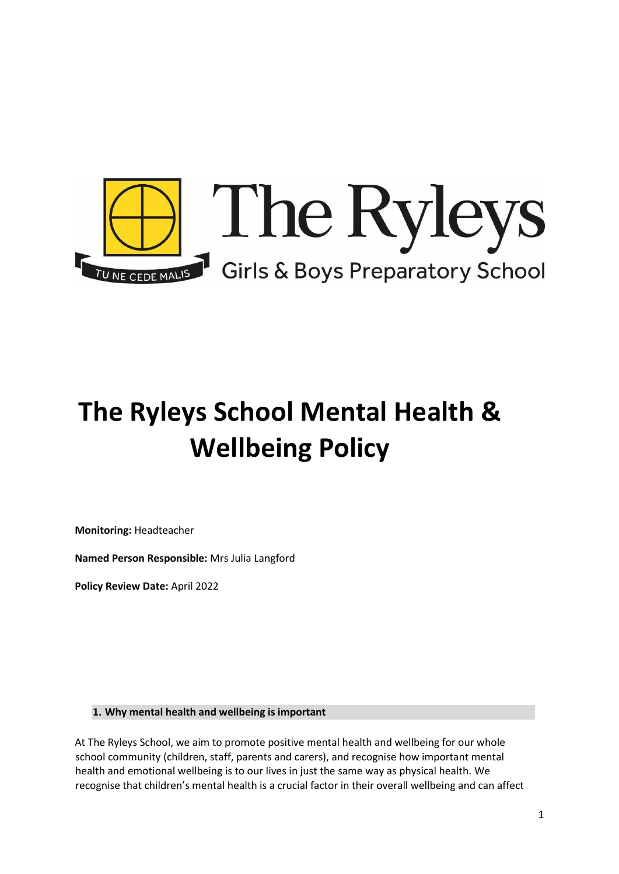

# **The Ryleys School Mental Health & Wellbeing Policy**

**Monitoring:** Headteacher

**Named Person Responsible:** Mrs Julia Langford

**Policy Review Date:** April 2022

**1. Why mental health and wellbeing is important** 

At The Ryleys School, we aim to promote positive mental health and wellbeing for our whole school community (children, staff, parents and carers), and recognise how important mental health and emotional wellbeing is to our lives in just the same way as physical health. We recognise that children's mental health is a crucial factor in their overall wellbeing and can affect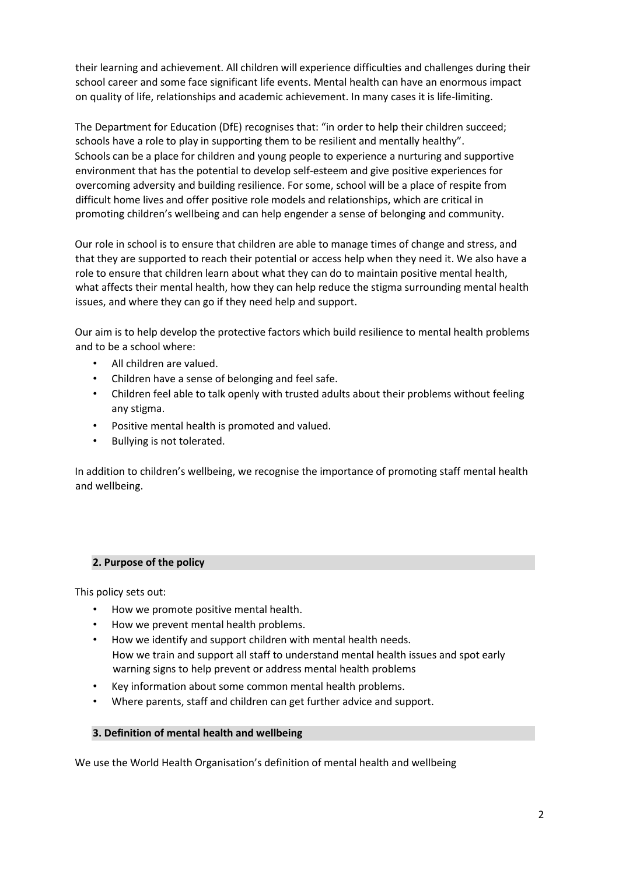their learning and achievement. All children will experience difficulties and challenges during their school career and some face significant life events. Mental health can have an enormous impact on quality of life, relationships and academic achievement. In many cases it is life-limiting.

The Department for Education (DfE) recognises that: "in order to help their children succeed; schools have a role to play in supporting them to be resilient and mentally healthy". Schools can be a place for children and young people to experience a nurturing and supportive environment that has the potential to develop self-esteem and give positive experiences for overcoming adversity and building resilience. For some, school will be a place of respite from difficult home lives and offer positive role models and relationships, which are critical in promoting children's wellbeing and can help engender a sense of belonging and community.

Our role in school is to ensure that children are able to manage times of change and stress, and that they are supported to reach their potential or access help when they need it. We also have a role to ensure that children learn about what they can do to maintain positive mental health, what affects their mental health, how they can help reduce the stigma surrounding mental health issues, and where they can go if they need help and support.

Our aim is to help develop the protective factors which build resilience to mental health problems and to be a school where:

- All children are valued.
- Children have a sense of belonging and feel safe.
- Children feel able to talk openly with trusted adults about their problems without feeling any stigma.
- Positive mental health is promoted and valued.
- Bullying is not tolerated.

In addition to children's wellbeing, we recognise the importance of promoting staff mental health and wellbeing.

# **2. Purpose of the policy**

This policy sets out:

- How we promote positive mental health.
- How we prevent mental health problems.
- How we identify and support children with mental health needs. How we train and support all staff to understand mental health issues and spot early warning signs to help prevent or address mental health problems
- Key information about some common mental health problems.
- Where parents, staff and children can get further advice and support.

#### **3. Definition of mental health and wellbeing**

We use the World Health Organisation's definition of mental health and wellbeing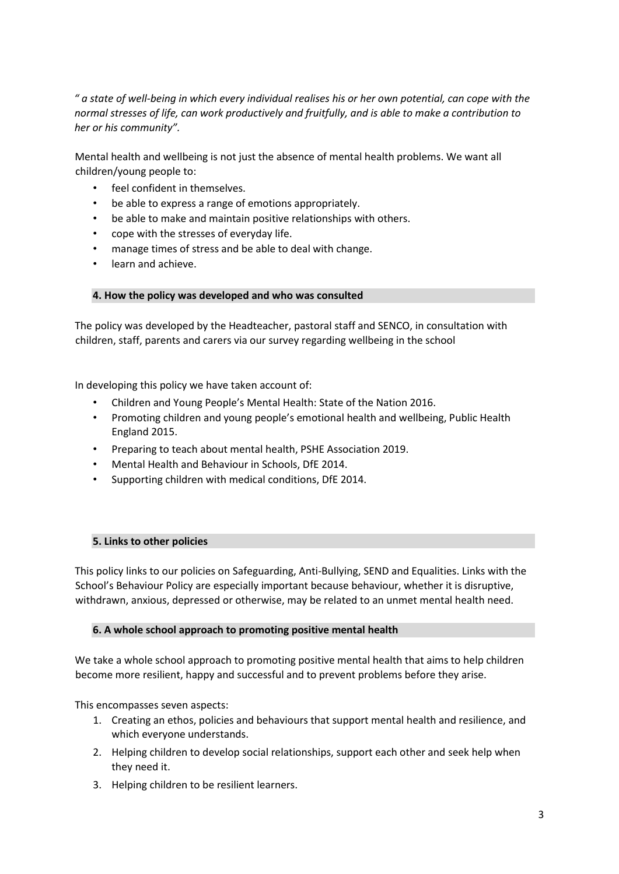*" a state of well-being in which every individual realises his or her own potential, can cope with the normal stresses of life, can work productively and fruitfully, and is able to make a contribution to her or his community".* 

Mental health and wellbeing is not just the absence of mental health problems. We want all children/young people to:

- feel confident in themselves.
- be able to express a range of emotions appropriately.
- be able to make and maintain positive relationships with others.
- cope with the stresses of everyday life.
- manage times of stress and be able to deal with change.
- learn and achieve.

## **4. How the policy was developed and who was consulted**

The policy was developed by the Headteacher, pastoral staff and SENCO, in consultation with children, staff, parents and carers via our survey regarding wellbeing in the school

In developing this policy we have taken account of:

- Children and Young People's Mental Health: State of the Nation 2016.
- Promoting children and young people's emotional health and wellbeing, Public Health England 2015.
- Preparing to teach about mental health, PSHE Association 2019.
- Mental Health and Behaviour in Schools, DfE 2014.
- Supporting children with medical conditions, DfE 2014.

# **5. Links to other policies**

This policy links to our policies on Safeguarding, Anti-Bullying, SEND and Equalities. Links with the School's Behaviour Policy are especially important because behaviour, whether it is disruptive, withdrawn, anxious, depressed or otherwise, may be related to an unmet mental health need.

#### **6. A whole school approach to promoting positive mental health**

We take a whole school approach to promoting positive mental health that aims to help children become more resilient, happy and successful and to prevent problems before they arise.

This encompasses seven aspects:

- 1. Creating an ethos, policies and behaviours that support mental health and resilience, and which everyone understands.
- 2. Helping children to develop social relationships, support each other and seek help when they need it.
- 3. Helping children to be resilient learners.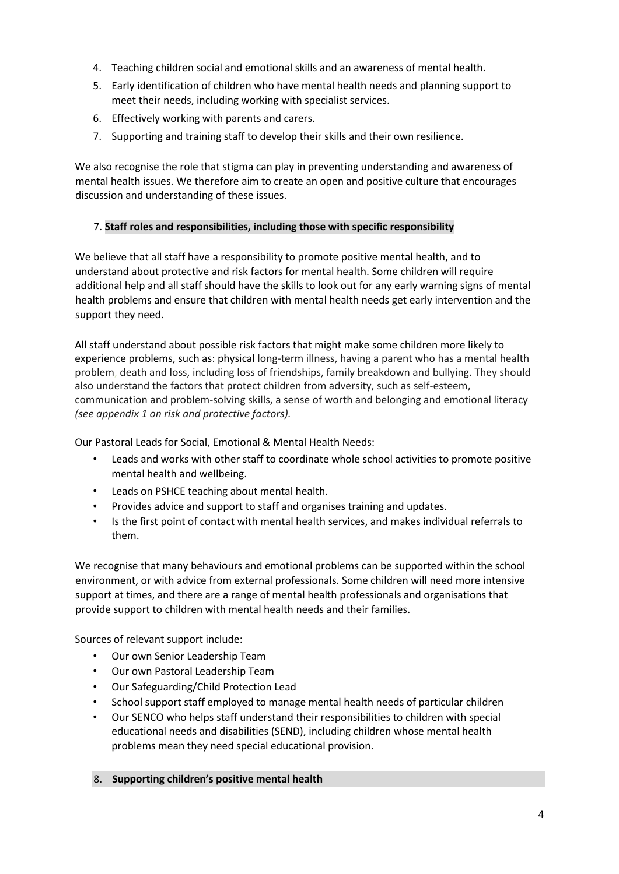- 4. Teaching children social and emotional skills and an awareness of mental health.
- 5. Early identification of children who have mental health needs and planning support to meet their needs, including working with specialist services.
- 6. Effectively working with parents and carers.
- 7. Supporting and training staff to develop their skills and their own resilience.

We also recognise the role that stigma can play in preventing understanding and awareness of mental health issues. We therefore aim to create an open and positive culture that encourages discussion and understanding of these issues.

# 7. **Staff roles and responsibilities, including those with specific responsibility**

We believe that all staff have a responsibility to promote positive mental health, and to understand about protective and risk factors for mental health. Some children will require additional help and all staff should have the skills to look out for any early warning signs of mental health problems and ensure that children with mental health needs get early intervention and the support they need.

All staff understand about possible risk factors that might make some children more likely to experience problems, such as: physical long-term illness, having a parent who has a mental health problem, death and loss, including loss of friendships, family breakdown and bullying. They should also understand the factors that protect children from adversity, such as self-esteem, communication and problem-solving skills, a sense of worth and belonging and emotional literacy *(see appendix 1 on risk and protective factors).*

Our Pastoral Leads for Social, Emotional & Mental Health Needs:

- Leads and works with other staff to coordinate whole school activities to promote positive mental health and wellbeing.
- Leads on PSHCE teaching about mental health.
- Provides advice and support to staff and organises training and updates.
- Is the first point of contact with mental health services, and makes individual referrals to them.

We recognise that many behaviours and emotional problems can be supported within the school environment, or with advice from external professionals. Some children will need more intensive support at times, and there are a range of mental health professionals and organisations that provide support to children with mental health needs and their families.

Sources of relevant support include:

- Our own Senior Leadership Team
- Our own Pastoral Leadership Team
- Our Safeguarding/Child Protection Lead
- School support staff employed to manage mental health needs of particular children
- Our SENCO who helps staff understand their responsibilities to children with special educational needs and disabilities (SEND), including children whose mental health problems mean they need special educational provision.
- 8. **Supporting children's positive mental health**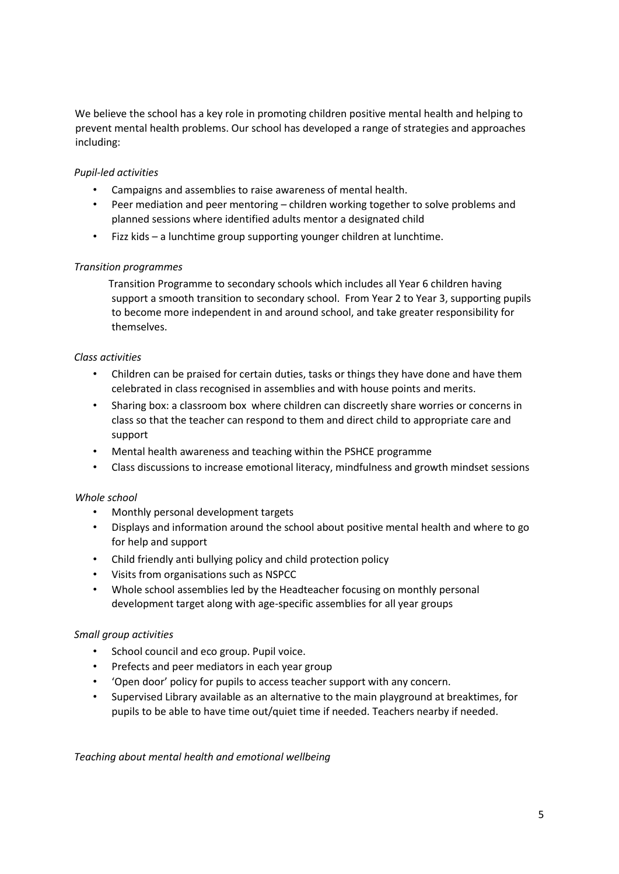We believe the school has a key role in promoting children positive mental health and helping to prevent mental health problems. Our school has developed a range of strategies and approaches including:

# *Pupil-led activities*

- Campaigns and assemblies to raise awareness of mental health.
- Peer mediation and peer mentoring children working together to solve problems and planned sessions where identified adults mentor a designated child
- Fizz kids a lunchtime group supporting younger children at lunchtime.

## *Transition programmes*

 Transition Programme to secondary schools which includes all Year 6 children having support a smooth transition to secondary school. From Year 2 to Year 3, supporting pupils to become more independent in and around school, and take greater responsibility for themselves.

## *Class activities*

- Children can be praised for certain duties, tasks or things they have done and have them celebrated in class recognised in assemblies and with house points and merits.
- Sharing box: a classroom box where children can discreetly share worries or concerns in class so that the teacher can respond to them and direct child to appropriate care and support
- Mental health awareness and teaching within the PSHCE programme
- Class discussions to increase emotional literacy, mindfulness and growth mindset sessions

#### *Whole school*

- Monthly personal development targets
- Displays and information around the school about positive mental health and where to go for help and support
- Child friendly anti bullying policy and child protection policy
- Visits from organisations such as NSPCC
- Whole school assemblies led by the Headteacher focusing on monthly personal development target along with age-specific assemblies for all year groups

#### *Small group activities*

- School council and eco group. Pupil voice.
- Prefects and peer mediators in each year group
- 'Open door' policy for pupils to access teacher support with any concern.
- Supervised Library available as an alternative to the main playground at breaktimes, for pupils to be able to have time out/quiet time if needed. Teachers nearby if needed.

#### *Teaching about mental health and emotional wellbeing*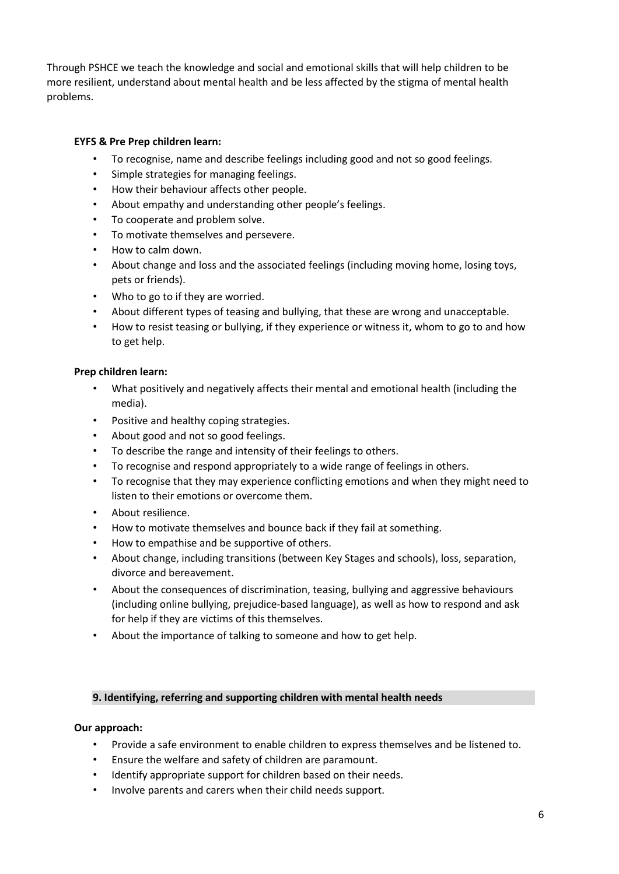Through PSHCE we teach the knowledge and social and emotional skills that will help children to be more resilient, understand about mental health and be less affected by the stigma of mental health problems.

# **EYFS & Pre Prep children learn:**

- To recognise, name and describe feelings including good and not so good feelings.
- Simple strategies for managing feelings.
- How their behaviour affects other people.
- About empathy and understanding other people's feelings.
- To cooperate and problem solve.
- To motivate themselves and persevere.
- How to calm down.
- About change and loss and the associated feelings (including moving home, losing toys, pets or friends).
- Who to go to if they are worried.
- About different types of teasing and bullying, that these are wrong and unacceptable.
- How to resist teasing or bullying, if they experience or witness it, whom to go to and how to get help.

# **Prep children learn:**

- What positively and negatively affects their mental and emotional health (including the media).
- Positive and healthy coping strategies.
- About good and not so good feelings.
- To describe the range and intensity of their feelings to others.
- To recognise and respond appropriately to a wide range of feelings in others.
- To recognise that they may experience conflicting emotions and when they might need to listen to their emotions or overcome them.
- About resilience.
- How to motivate themselves and bounce back if they fail at something.
- How to empathise and be supportive of others.
- About change, including transitions (between Key Stages and schools), loss, separation, divorce and bereavement.
- About the consequences of discrimination, teasing, bullying and aggressive behaviours (including online bullying, prejudice-based language), as well as how to respond and ask for help if they are victims of this themselves.
- About the importance of talking to someone and how to get help.

# **9. Identifying, referring and supporting children with mental health needs**

# **Our approach:**

- Provide a safe environment to enable children to express themselves and be listened to.
- Ensure the welfare and safety of children are paramount.
- Identify appropriate support for children based on their needs.
- Involve parents and carers when their child needs support.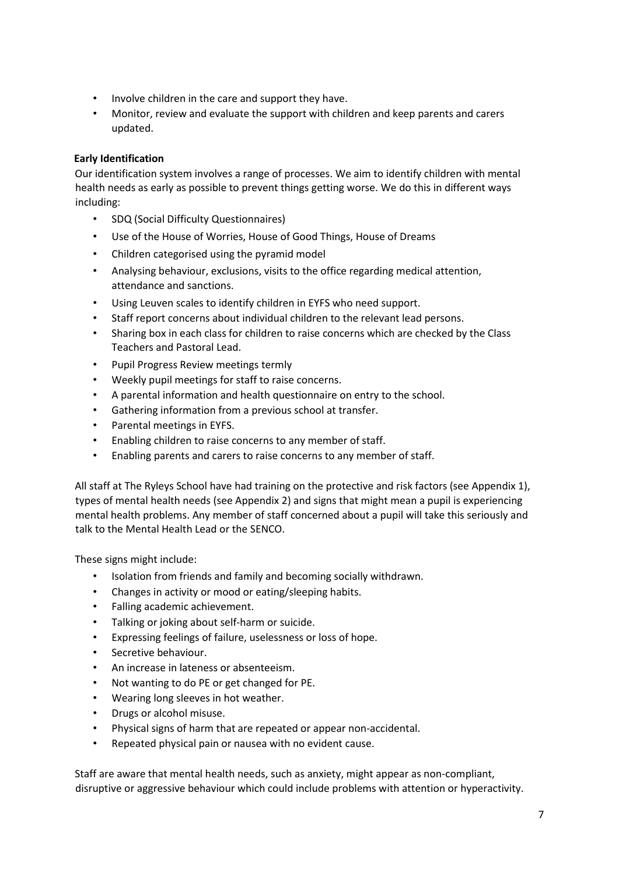- Involve children in the care and support they have.
- Monitor, review and evaluate the support with children and keep parents and carers updated.

# **Early Identification**

Our identification system involves a range of processes. We aim to identify children with mental health needs as early as possible to prevent things getting worse. We do this in different ways including:

- SDQ (Social Difficulty Questionnaires)
- Use of the House of Worries, House of Good Things, House of Dreams
- Children categorised using the pyramid model
- Analysing behaviour, exclusions, visits to the office regarding medical attention, attendance and sanctions.
- Using Leuven scales to identify children in EYFS who need support.
- Staff report concerns about individual children to the relevant lead persons.
- Sharing box in each class for children to raise concerns which are checked by the Class Teachers and Pastoral Lead.
- Pupil Progress Review meetings termly
- Weekly pupil meetings for staff to raise concerns.
- A parental information and health questionnaire on entry to the school.
- Gathering information from a previous school at transfer.
- Parental meetings in EYFS.
- Enabling children to raise concerns to any member of staff.
- Enabling parents and carers to raise concerns to any member of staff.

All staff at The Ryleys School have had training on the protective and risk factors (see Appendix 1), types of mental health needs (see Appendix 2) and signs that might mean a pupil is experiencing mental health problems. Any member of staff concerned about a pupil will take this seriously and talk to the Mental Health Lead or the SENCO.

These signs might include:

- Isolation from friends and family and becoming socially withdrawn.
- Changes in activity or mood or eating/sleeping habits.
- Falling academic achievement.
- Talking or joking about self-harm or suicide.
- Expressing feelings of failure, uselessness or loss of hope.
- Secretive behaviour.
- An increase in lateness or absenteeism.
- Not wanting to do PE or get changed for PE.
- Wearing long sleeves in hot weather.
- Drugs or alcohol misuse.
- Physical signs of harm that are repeated or appear non-accidental.
- Repeated physical pain or nausea with no evident cause.

Staff are aware that mental health needs, such as anxiety, might appear as non-compliant, disruptive or aggressive behaviour which could include problems with attention or hyperactivity.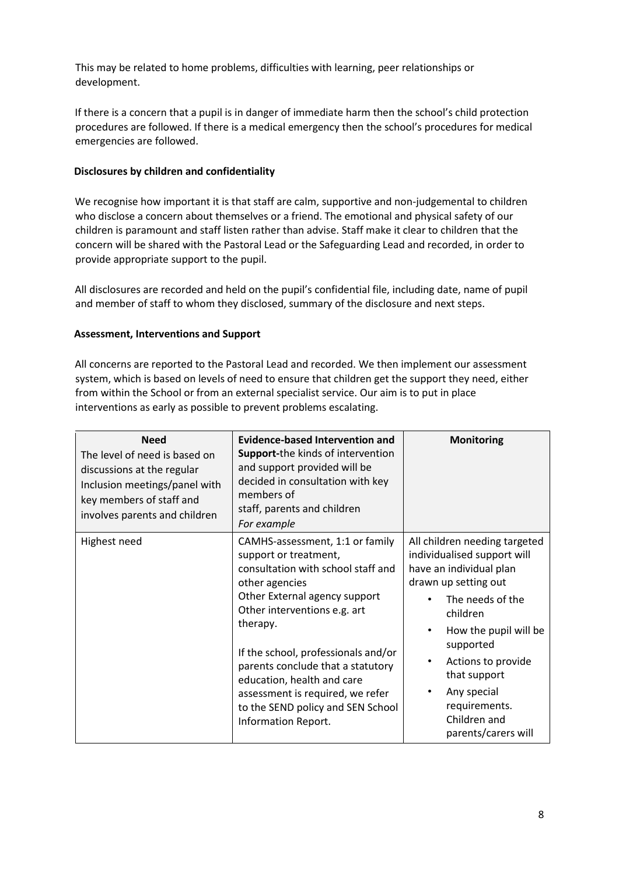This may be related to home problems, difficulties with learning, peer relationships or development.

If there is a concern that a pupil is in danger of immediate harm then the school's child protection procedures are followed. If there is a medical emergency then the school's procedures for medical emergencies are followed.

## **Disclosures by children and confidentiality**

We recognise how important it is that staff are calm, supportive and non-judgemental to children who disclose a concern about themselves or a friend. The emotional and physical safety of our children is paramount and staff listen rather than advise. Staff make it clear to children that the concern will be shared with the Pastoral Lead or the Safeguarding Lead and recorded, in order to provide appropriate support to the pupil.

All disclosures are recorded and held on the pupil's confidential file, including date, name of pupil and member of staff to whom they disclosed, summary of the disclosure and next steps.

## **Assessment, Interventions and Support**

All concerns are reported to the Pastoral Lead and recorded. We then implement our assessment system, which is based on levels of need to ensure that children get the support they need, either from within the School or from an external specialist service. Our aim is to put in place interventions as early as possible to prevent problems escalating.

| <b>Need</b><br>The level of need is based on<br>discussions at the regular<br>Inclusion meetings/panel with<br>key members of staff and<br>involves parents and children | Evidence-based Intervention and<br><b>Support-the kinds of intervention</b><br>and support provided will be<br>decided in consultation with key<br>members of<br>staff, parents and children<br>For example                                                                                                                                                                                             | <b>Monitoring</b>                                                                                                                                                                                                                                                                                               |
|--------------------------------------------------------------------------------------------------------------------------------------------------------------------------|---------------------------------------------------------------------------------------------------------------------------------------------------------------------------------------------------------------------------------------------------------------------------------------------------------------------------------------------------------------------------------------------------------|-----------------------------------------------------------------------------------------------------------------------------------------------------------------------------------------------------------------------------------------------------------------------------------------------------------------|
| Highest need                                                                                                                                                             | CAMHS-assessment, 1:1 or family<br>support or treatment,<br>consultation with school staff and<br>other agencies<br>Other External agency support<br>Other interventions e.g. art<br>therapy.<br>If the school, professionals and/or<br>parents conclude that a statutory<br>education, health and care<br>assessment is required, we refer<br>to the SEND policy and SEN School<br>Information Report. | All children needing targeted<br>individualised support will<br>have an individual plan<br>drawn up setting out<br>The needs of the<br>children<br>How the pupil will be<br>$\bullet$<br>supported<br>Actions to provide<br>that support<br>Any special<br>requirements.<br>Children and<br>parents/carers will |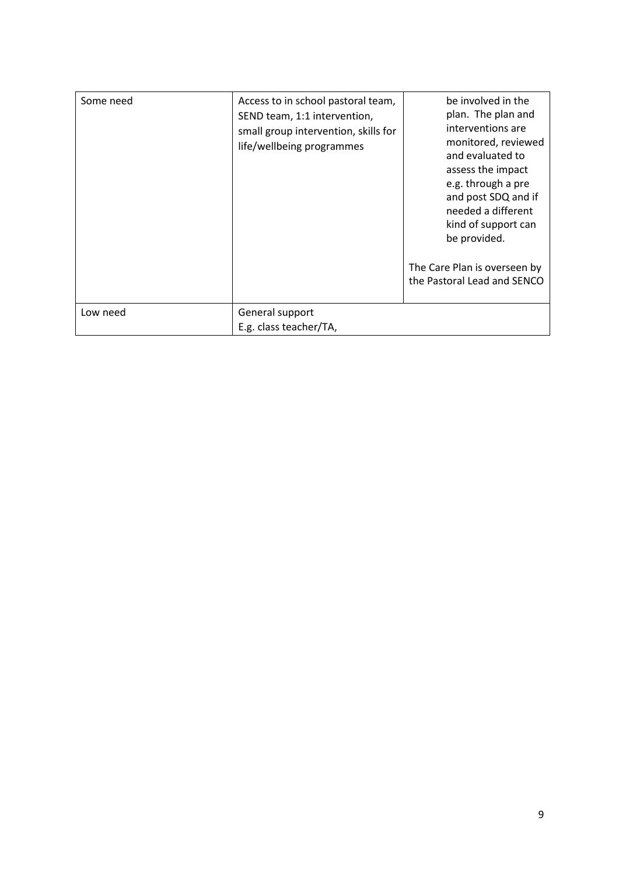| Some need | Access to in school pastoral team,<br>SEND team, 1:1 intervention,<br>small group intervention, skills for<br>life/wellbeing programmes | be involved in the<br>plan. The plan and<br>interventions are<br>monitored, reviewed<br>and evaluated to<br>assess the impact<br>e.g. through a pre<br>and post SDQ and if<br>needed a different<br>kind of support can<br>be provided.<br>The Care Plan is overseen by<br>the Pastoral Lead and SENCO |
|-----------|-----------------------------------------------------------------------------------------------------------------------------------------|--------------------------------------------------------------------------------------------------------------------------------------------------------------------------------------------------------------------------------------------------------------------------------------------------------|
| Low need  | General support<br>E.g. class teacher/TA,                                                                                               |                                                                                                                                                                                                                                                                                                        |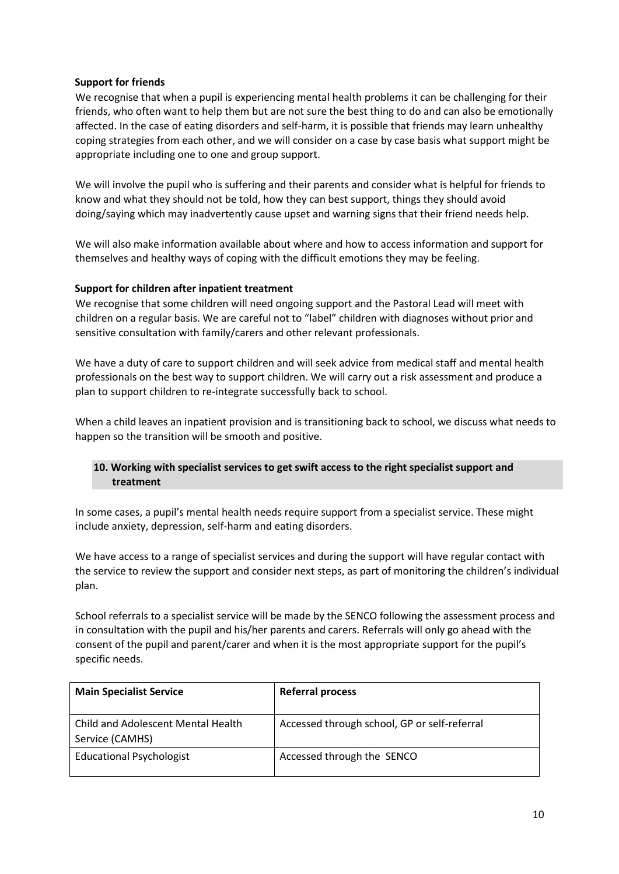## **Support for friends**

We recognise that when a pupil is experiencing mental health problems it can be challenging for their friends, who often want to help them but are not sure the best thing to do and can also be emotionally affected. In the case of eating disorders and self-harm, it is possible that friends may learn unhealthy coping strategies from each other, and we will consider on a case by case basis what support might be appropriate including one to one and group support.

We will involve the pupil who is suffering and their parents and consider what is helpful for friends to know and what they should not be told, how they can best support, things they should avoid doing/saying which may inadvertently cause upset and warning signs that their friend needs help.

We will also make information available about where and how to access information and support for themselves and healthy ways of coping with the difficult emotions they may be feeling.

## **Support for children after inpatient treatment**

We recognise that some children will need ongoing support and the Pastoral Lead will meet with children on a regular basis. We are careful not to "label" children with diagnoses without prior and sensitive consultation with family/carers and other relevant professionals.

We have a duty of care to support children and will seek advice from medical staff and mental health professionals on the best way to support children. We will carry out a risk assessment and produce a plan to support children to re-integrate successfully back to school.

When a child leaves an inpatient provision and is transitioning back to school, we discuss what needs to happen so the transition will be smooth and positive.

# **10. Working with specialist services to get swift access to the right specialist support and treatment**

In some cases, a pupil's mental health needs require support from a specialist service. These might include anxiety, depression, self-harm and eating disorders.

We have access to a range of specialist services and during the support will have regular contact with the service to review the support and consider next steps, as part of monitoring the children's individual plan.

School referrals to a specialist service will be made by the SENCO following the assessment process and in consultation with the pupil and his/her parents and carers. Referrals will only go ahead with the consent of the pupil and parent/carer and when it is the most appropriate support for the pupil's specific needs.

| <b>Main Specialist Service</b>                        | <b>Referral process</b>                      |
|-------------------------------------------------------|----------------------------------------------|
| Child and Adolescent Mental Health<br>Service (CAMHS) | Accessed through school, GP or self-referral |
| <b>Educational Psychologist</b>                       | Accessed through the SENCO                   |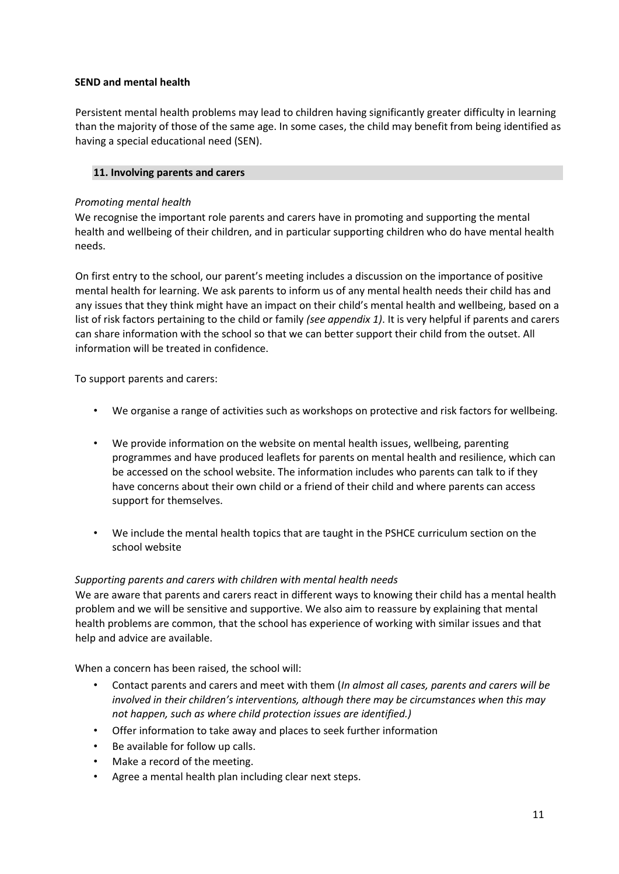## **SEND and mental health**

Persistent mental health problems may lead to children having significantly greater difficulty in learning than the majority of those of the same age. In some cases, the child may benefit from being identified as having a special educational need (SEN).

## **11. Involving parents and carers**

## *Promoting mental health*

We recognise the important role parents and carers have in promoting and supporting the mental health and wellbeing of their children, and in particular supporting children who do have mental health needs.

On first entry to the school, our parent's meeting includes a discussion on the importance of positive mental health for learning. We ask parents to inform us of any mental health needs their child has and any issues that they think might have an impact on their child's mental health and wellbeing, based on a list of risk factors pertaining to the child or family *(see appendix 1)*. It is very helpful if parents and carers can share information with the school so that we can better support their child from the outset. All information will be treated in confidence.

To support parents and carers:

- We organise a range of activities such as workshops on protective and risk factors for wellbeing.
- We provide information on the website on mental health issues, wellbeing, parenting programmes and have produced leaflets for parents on mental health and resilience, which can be accessed on the school website. The information includes who parents can talk to if they have concerns about their own child or a friend of their child and where parents can access support for themselves.
- We include the mental health topics that are taught in the PSHCE curriculum section on the school website

#### *Supporting parents and carers with children with mental health needs*

We are aware that parents and carers react in different ways to knowing their child has a mental health problem and we will be sensitive and supportive. We also aim to reassure by explaining that mental health problems are common, that the school has experience of working with similar issues and that help and advice are available.

When a concern has been raised, the school will:

- Contact parents and carers and meet with them (*In almost all cases, parents and carers will be involved in their children's interventions, although there may be circumstances when this may not happen, such as where child protection issues are identified.)*
- Offer information to take away and places to seek further information
- Be available for follow up calls.
- Make a record of the meeting.
- Agree a mental health plan including clear next steps.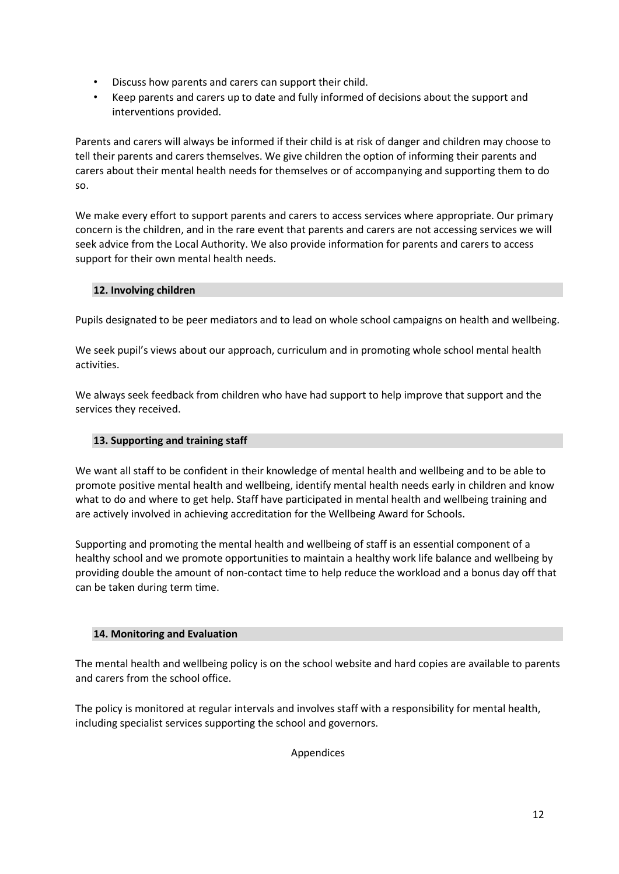- Discuss how parents and carers can support their child.
- Keep parents and carers up to date and fully informed of decisions about the support and interventions provided.

Parents and carers will always be informed if their child is at risk of danger and children may choose to tell their parents and carers themselves. We give children the option of informing their parents and carers about their mental health needs for themselves or of accompanying and supporting them to do so.

We make every effort to support parents and carers to access services where appropriate. Our primary concern is the children, and in the rare event that parents and carers are not accessing services we will seek advice from the Local Authority. We also provide information for parents and carers to access support for their own mental health needs.

# **12. Involving children**

Pupils designated to be peer mediators and to lead on whole school campaigns on health and wellbeing.

We seek pupil's views about our approach, curriculum and in promoting whole school mental health activities.

We always seek feedback from children who have had support to help improve that support and the services they received.

# **13. Supporting and training staff**

We want all staff to be confident in their knowledge of mental health and wellbeing and to be able to promote positive mental health and wellbeing, identify mental health needs early in children and know what to do and where to get help. Staff have participated in mental health and wellbeing training and are actively involved in achieving accreditation for the Wellbeing Award for Schools.

Supporting and promoting the mental health and wellbeing of staff is an essential component of a healthy school and we promote opportunities to maintain a healthy work life balance and wellbeing by providing double the amount of non-contact time to help reduce the workload and a bonus day off that can be taken during term time.

# **14. Monitoring and Evaluation**

The mental health and wellbeing policy is on the school website and hard copies are available to parents and carers from the school office.

The policy is monitored at regular intervals and involves staff with a responsibility for mental health, including specialist services supporting the school and governors.

Appendices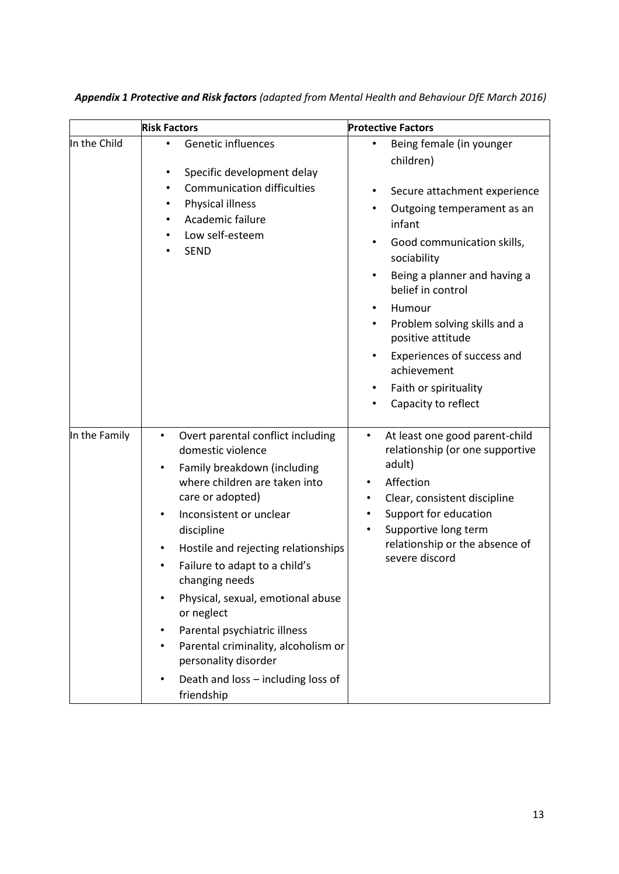|               | <b>Risk Factors</b>                                                                                                                                                                                                                                                                                                                                                                                                                                                                                                        | <b>Protective Factors</b>                                                                                                                                                                                                                                                                                                                                                                                              |
|---------------|----------------------------------------------------------------------------------------------------------------------------------------------------------------------------------------------------------------------------------------------------------------------------------------------------------------------------------------------------------------------------------------------------------------------------------------------------------------------------------------------------------------------------|------------------------------------------------------------------------------------------------------------------------------------------------------------------------------------------------------------------------------------------------------------------------------------------------------------------------------------------------------------------------------------------------------------------------|
| In the Child  | <b>Genetic influences</b><br>Specific development delay<br>٠<br><b>Communication difficulties</b><br>٠<br>Physical illness<br>Academic failure<br>Low self-esteem<br><b>SEND</b>                                                                                                                                                                                                                                                                                                                                           | Being female (in younger<br>٠<br>children)<br>Secure attachment experience<br>٠<br>Outgoing temperament as an<br>infant<br>Good communication skills,<br>٠<br>sociability<br>Being a planner and having a<br>belief in control<br>Humour<br>٠<br>Problem solving skills and a<br>٠<br>positive attitude<br>Experiences of success and<br>$\bullet$<br>achievement<br>Faith or spirituality<br>٠<br>Capacity to reflect |
| In the Family | Overt parental conflict including<br>$\bullet$<br>domestic violence<br>Family breakdown (including<br>$\bullet$<br>where children are taken into<br>care or adopted)<br>Inconsistent or unclear<br>discipline<br>Hostile and rejecting relationships<br>Failure to adapt to a child's<br>$\bullet$<br>changing needs<br>Physical, sexual, emotional abuse<br>or neglect<br>Parental psychiatric illness<br>Parental criminality, alcoholism or<br>personality disorder<br>Death and loss - including loss of<br>friendship | At least one good parent-child<br>$\bullet$<br>relationship (or one supportive<br>adult)<br>Affection<br>Clear, consistent discipline<br>Support for education<br>$\bullet$<br>Supportive long term<br>$\bullet$<br>relationship or the absence of<br>severe discord                                                                                                                                                   |

*Appendix 1 Protective and Risk factors (adapted from Mental Health and Behaviour DfE March 2016)*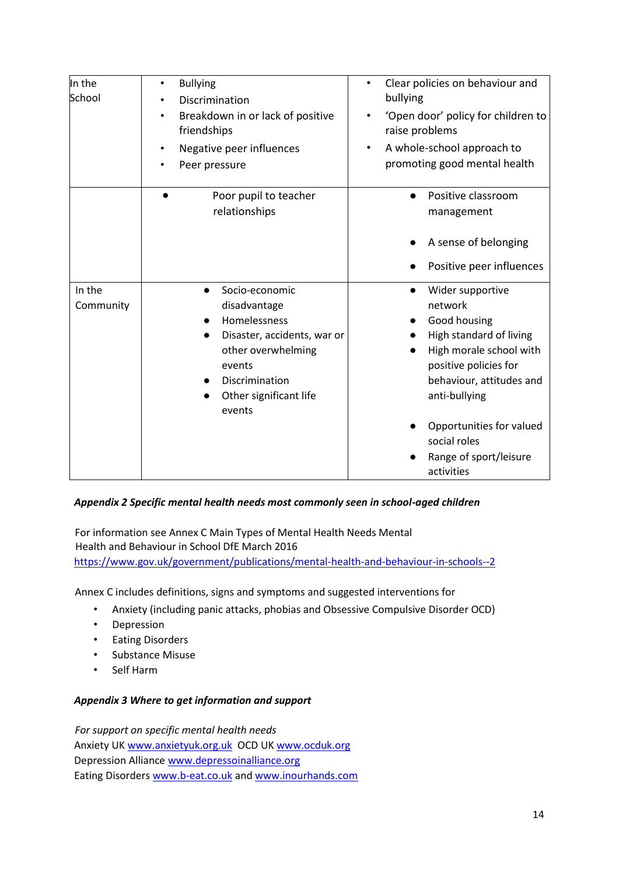| In the<br>School    | <b>Bullying</b><br>٠<br>Discrimination<br>Breakdown in or lack of positive<br>٠<br>friendships<br>Negative peer influences<br>$\bullet$<br>Peer pressure                         | Clear policies on behaviour and<br>$\bullet$<br>bullying<br>'Open door' policy for children to<br>raise problems<br>A whole-school approach to<br>٠<br>promoting good mental health                                                                                      |
|---------------------|----------------------------------------------------------------------------------------------------------------------------------------------------------------------------------|--------------------------------------------------------------------------------------------------------------------------------------------------------------------------------------------------------------------------------------------------------------------------|
|                     | Poor pupil to teacher<br>relationships                                                                                                                                           | Positive classroom<br>management<br>A sense of belonging<br>Positive peer influences                                                                                                                                                                                     |
| In the<br>Community | Socio-economic<br>disadvantage<br>Homelessness<br>Disaster, accidents, war or<br>$\bullet$<br>other overwhelming<br>events<br>Discrimination<br>Other significant life<br>events | Wider supportive<br>$\bullet$<br>network<br>Good housing<br>High standard of living<br>High morale school with<br>positive policies for<br>behaviour, attitudes and<br>anti-bullying<br>Opportunities for valued<br>social roles<br>Range of sport/leisure<br>activities |

# *Appendix 2 Specific mental health needs most commonly seen in school-aged children*

For information see Annex C Main Types of Mental Health Needs Mental Health and Behaviour in School DfE March 2016 <https://www.gov.uk/government/publications/mental-health-and-behaviour-in-schools--2>

Annex C includes definitions, signs and symptoms and suggested interventions for

- Anxiety (including panic attacks, phobias and Obsessive Compulsive Disorder OCD)
- Depression
- Eating Disorders
- Substance Misuse
- Self Harm

#### *Appendix 3 Where to get information and support*

*For support on specific mental health needs*  Anxiety U[K www.anxietyuk.org.uk](http://www.anxietyuk.org.uk/) OCD UK [www.ocduk.org](http://www.ocduk.org/) Depression Alliance [www.depressoinalliance.org](http://www.depressoinalliance.org/) Eating Disorder[s www.b-eat.co.uk](http://www.b-eat.co.uk/) and [www.inourhands.com](http://www.inourhands.com/)